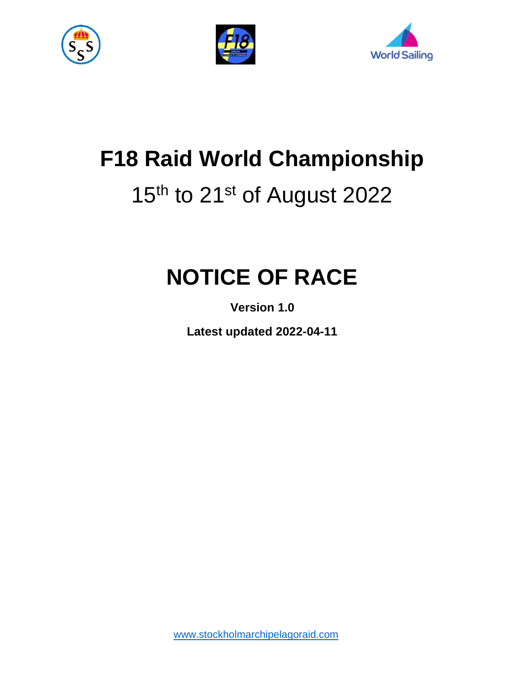





# **F18 Raid World Championship**

# 15<sup>th</sup> to 21<sup>st</sup> of August 2022

# **NOTICE OF RACE**

**Version 1.0**

**Latest updated 2022-04-11**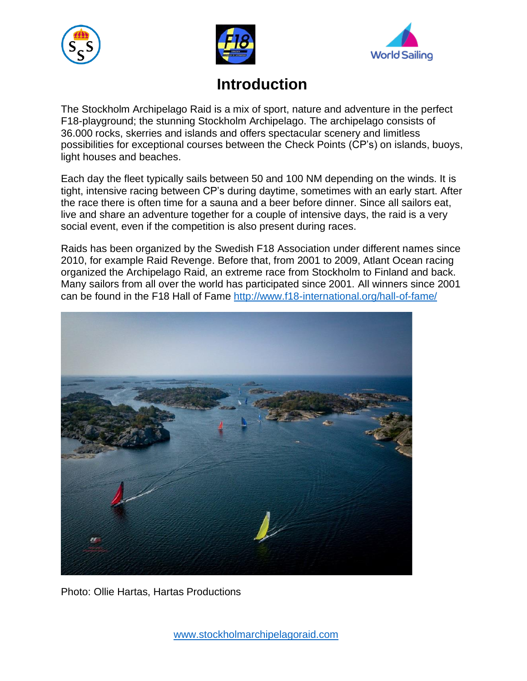





# **Introduction**

The Stockholm Archipelago Raid is a mix of sport, nature and adventure in the perfect F18-playground; the stunning Stockholm Archipelago. The archipelago consists of 36.000 rocks, skerries and islands and offers spectacular scenery and limitless possibilities for exceptional courses between the Check Points (CP's) on islands, buoys, light houses and beaches.

Each day the fleet typically sails between 50 and 100 NM depending on the winds. It is tight, intensive racing between CP's during daytime, sometimes with an early start. After the race there is often time for a sauna and a beer before dinner. Since all sailors eat, live and share an adventure together for a couple of intensive days, the raid is a very social event, even if the competition is also present during races.

Raids has been organized by the Swedish F18 Association under different names since 2010, for example Raid Revenge. Before that, from 2001 to 2009, Atlant Ocean racing organized the Archipelago Raid, an extreme race from Stockholm to Finland and back. Many sailors from all over the world has participated since 2001. All winners since 2001 can be found in the F18 Hall of Fame<http://www.f18-international.org/hall-of-fame/>



Photo: Ollie Hartas, Hartas Productions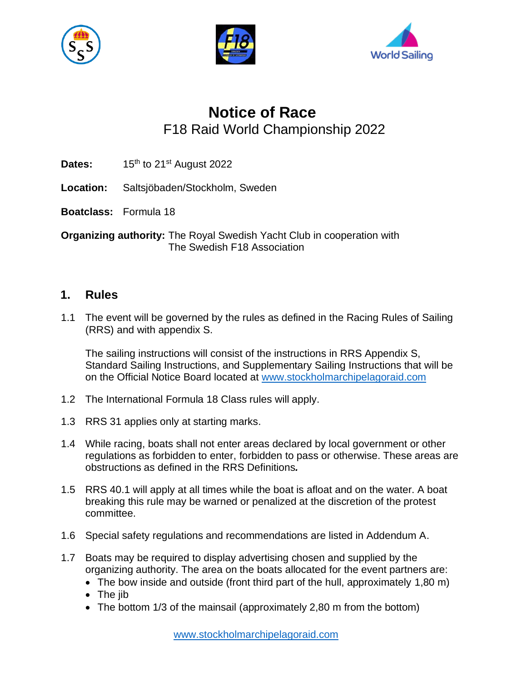





# **Notice of Race** F18 Raid World Championship 2022

- Dates: 15<sup>th</sup> to 21<sup>st</sup> August 2022
- **Location:** Saltsjöbaden/Stockholm, Sweden
- **Boatclass:** Formula 18

**Organizing authority:** The Royal Swedish Yacht Club in cooperation with The Swedish F18 Association

## **1. Rules**

1.1 The event will be governed by the rules as defined in the Racing Rules of Sailing (RRS) and with appendix S.

The sailing instructions will consist of the instructions in RRS Appendix S, Standard Sailing Instructions, and Supplementary Sailing Instructions that will be on the Official Notice Board located at [www.stockholmarchipelagoraid.com](http://www.stockholmarchipelagoraid.com/)

- 1.2 The International Formula 18 Class rules will apply.
- 1.3 RRS 31 applies only at starting marks.
- 1.4 While racing, boats shall not enter areas declared by local government or other regulations as forbidden to enter, forbidden to pass or otherwise. These areas are obstructions as defined in the RRS Definitions*.*
- 1.5 RRS 40.1 will apply at all times while the boat is afloat and on the water. A boat breaking this rule may be warned or penalized at the discretion of the protest committee.
- 1.6 Special safety regulations and recommendations are listed in Addendum A.
- 1.7 Boats may be required to display advertising chosen and supplied by the organizing authority. The area on the boats allocated for the event partners are:
	- The bow inside and outside (front third part of the hull, approximately 1,80 m)
	- The jib
	- The bottom 1/3 of the mainsail (approximately 2,80 m from the bottom)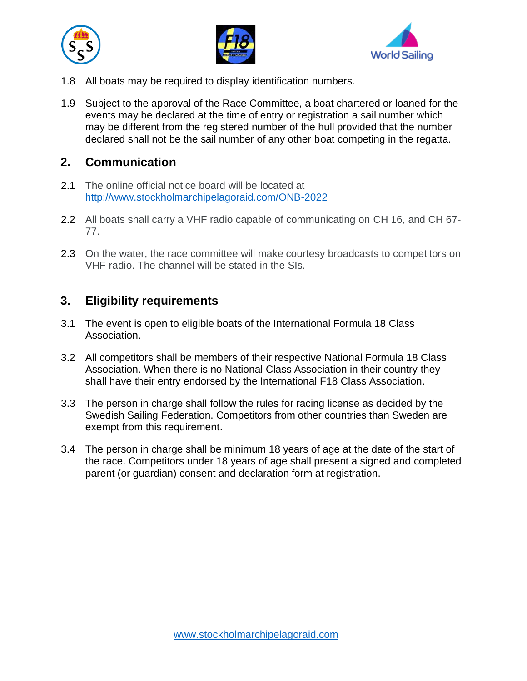





- 1.8 All boats may be required to display identification numbers.
- 1.9 Subject to the approval of the Race Committee, a boat chartered or loaned for the events may be declared at the time of entry or registration a sail number which may be different from the registered number of the hull provided that the number declared shall not be the sail number of any other boat competing in the regatta.

# **2. Communication**

- 2.1 The online official notice board will be located at <http://www.stockholmarchipelagoraid.com/ONB-2022>
- 2.2 All boats shall carry a VHF radio capable of communicating on CH 16, and CH 67- 77.
- 2.3 On the water, the race committee will make courtesy broadcasts to competitors on VHF radio. The channel will be stated in the SIs.

# **3. Eligibility requirements**

- 3.1 The event is open to eligible boats of the International Formula 18 Class Association.
- 3.2 All competitors shall be members of their respective National Formula 18 Class Association. When there is no National Class Association in their country they shall have their entry endorsed by the International F18 Class Association.
- 3.3 The person in charge shall follow the rules for racing license as decided by the Swedish Sailing Federation. Competitors from other countries than Sweden are exempt from this requirement.
- 3.4 The person in charge shall be minimum 18 years of age at the date of the start of the race. Competitors under 18 years of age shall present a signed and completed parent (or guardian) consent and declaration form at registration.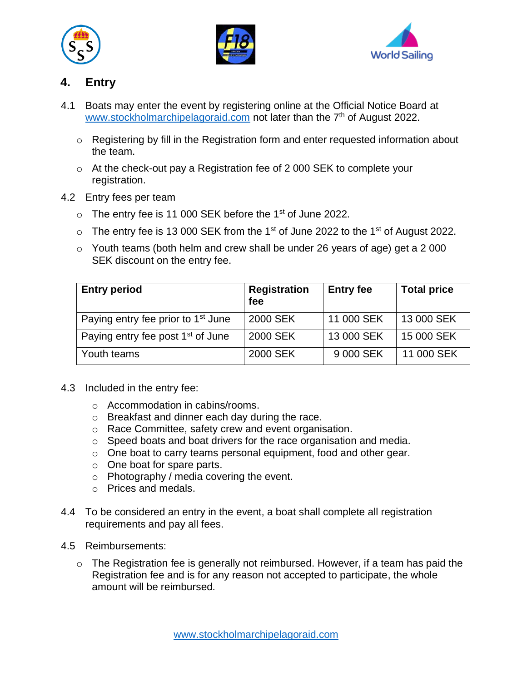





# **4. Entry**

- 4.1 Boats may enter the event by registering online at the Official Notice Board at [www.stockholmarchipelagoraid.com](http://www.stockholmarchipelagoraid.com/) not later than the 7<sup>th</sup> of August 2022.
	- o Registering by fill in the Registration form and enter requested information about the team.
	- o At the check-out pay a Registration fee of 2 000 SEK to complete your registration.
- 4.2 Entry fees per team
	- o The entry fee is 11 000 SEK before the 1<sup>st</sup> of June 2022.
	- $\circ$  The entry fee is 13 000 SEK from the 1<sup>st</sup> of June 2022 to the 1<sup>st</sup> of August 2022.
	- o Youth teams (both helm and crew shall be under 26 years of age) get a 2 000 SEK discount on the entry fee.

| <b>Entry period</b>                            | <b>Registration</b><br>fee | <b>Entry fee</b> | <b>Total price</b> |
|------------------------------------------------|----------------------------|------------------|--------------------|
| Paying entry fee prior to 1 <sup>st</sup> June | 2000 SEK                   | 11 000 SEK       | 13 000 SEK         |
| Paying entry fee post 1 <sup>st</sup> of June  | 2000 SEK                   | 13 000 SEK       | 15 000 SEK         |
| Youth teams                                    | 2000 SEK                   | 9 000 SEK        | 11 000 SEK         |

- 4.3 Included in the entry fee:
	- o Accommodation in cabins/rooms.
	- o Breakfast and dinner each day during the race.
	- o Race Committee, safety crew and event organisation.
	- o Speed boats and boat drivers for the race organisation and media.
	- o One boat to carry teams personal equipment, food and other gear.
	- o One boat for spare parts.
	- o Photography / media covering the event.
	- o Prices and medals.
- 4.4 To be considered an entry in the event, a boat shall complete all registration requirements and pay all fees.
- 4.5 Reimbursements:
	- $\circ$  The Registration fee is generally not reimbursed. However, if a team has paid the Registration fee and is for any reason not accepted to participate, the whole amount will be reimbursed.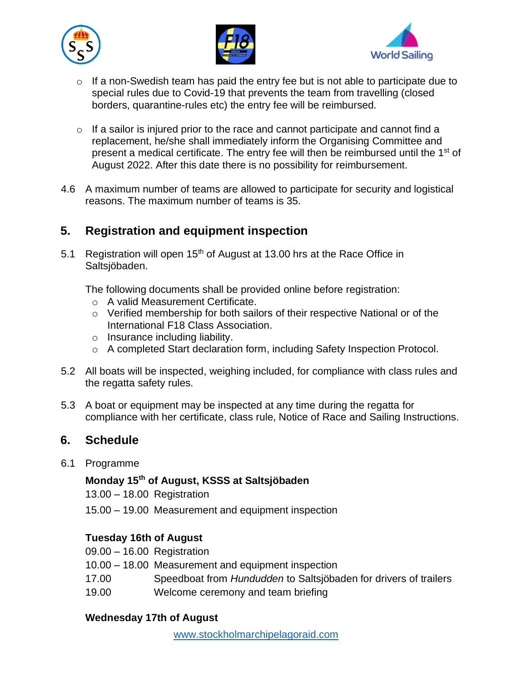





- o If a non-Swedish team has paid the entry fee but is not able to participate due to special rules due to Covid-19 that prevents the team from travelling (closed borders, quarantine-rules etc) the entry fee will be reimbursed.
- $\circ$  If a sailor is injured prior to the race and cannot participate and cannot find a replacement, he/she shall immediately inform the Organising Committee and present a medical certificate. The entry fee will then be reimbursed until the 1<sup>st</sup> of August 2022. After this date there is no possibility for reimbursement.
- 4.6 A maximum number of teams are allowed to participate for security and logistical reasons. The maximum number of teams is 35.

# **5. Registration and equipment inspection**

5.1 Registration will open  $15<sup>th</sup>$  of August at 13.00 hrs at the Race Office in Saltsjöbaden.

The following documents shall be provided online before registration:

- o A valid Measurement Certificate.
- o Verified membership for both sailors of their respective National or of the International F18 Class Association.
- o Insurance including liability.
- o A completed Start declaration form, including Safety Inspection Protocol.
- 5.2 All boats will be inspected, weighing included, for compliance with class rules and the regatta safety rules.
- 5.3 A boat or equipment may be inspected at any time during the regatta for compliance with her certificate, class rule, Notice of Race and Sailing Instructions.

### **6. Schedule**

6.1 Programme

## **Monday 15th of August, KSSS at Saltsjöbaden**

13.00 – 18.00 Registration

15.00 – 19.00 Measurement and equipment inspection

#### **Tuesday 16th of August**

- 09.00 16.00 Registration
- 10.00 18.00 Measurement and equipment inspection
- 17.00 Speedboat from *Hundudden* to Saltsjöbaden for drivers of trailers
- 19.00 Welcome ceremony and team briefing

#### **Wednesday 17th of August**

[www.stockholmarchipelagoraid.com](http://www.stockholmarchipelagoraid.com/)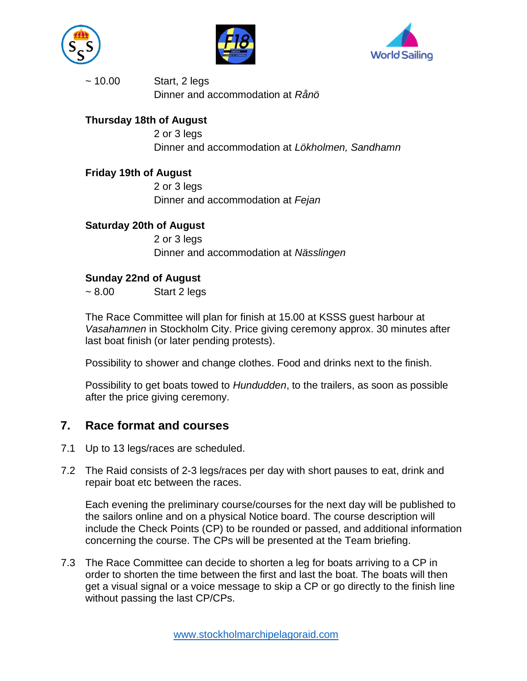





~ 10.00 Start, 2 legs Dinner and accommodation at *Rånö*

#### **Thursday 18th of August**

2 or 3 legs Dinner and accommodation at *Lökholmen, Sandhamn*

#### **Friday 19th of August**

2 or 3 legs Dinner and accommodation at *Fejan*

#### **Saturday 20th of August**

2 or 3 legs Dinner and accommodation at *Nässlingen*

#### **Sunday 22nd of August**

 $\sim 8.00$  Start 2 legs

The Race Committee will plan for finish at 15.00 at KSSS guest harbour at *Vasahamnen* in Stockholm City. Price giving ceremony approx. 30 minutes after last boat finish (or later pending protests).

Possibility to shower and change clothes. Food and drinks next to the finish.

Possibility to get boats towed to *Hundudden*, to the trailers, as soon as possible after the price giving ceremony.

### **7. Race format and courses**

- 7.1 Up to 13 legs/races are scheduled.
- 7.2 The Raid consists of 2-3 legs/races per day with short pauses to eat, drink and repair boat etc between the races.

Each evening the preliminary course/courses for the next day will be published to the sailors online and on a physical Notice board. The course description will include the Check Points (CP) to be rounded or passed, and additional information concerning the course. The CPs will be presented at the Team briefing.

7.3 The Race Committee can decide to shorten a leg for boats arriving to a CP in order to shorten the time between the first and last the boat. The boats will then get a visual signal or a voice message to skip a CP or go directly to the finish line without passing the last CP/CPs.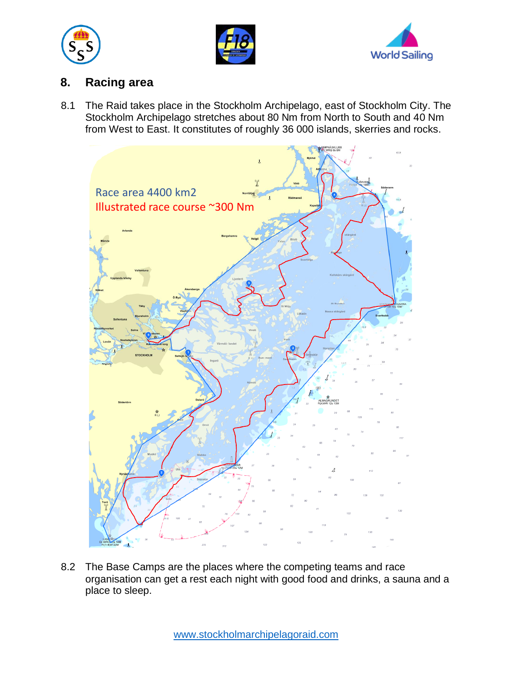





## **8. Racing area**

8.1 The Raid takes place in the Stockholm Archipelago, east of Stockholm City. The Stockholm Archipelago stretches about 80 Nm from North to South and 40 Nm from West to East. It constitutes of roughly 36 000 islands, skerries and rocks.



8.2 The Base Camps are the places where the competing teams and race organisation can get a rest each night with good food and drinks, a sauna and a place to sleep.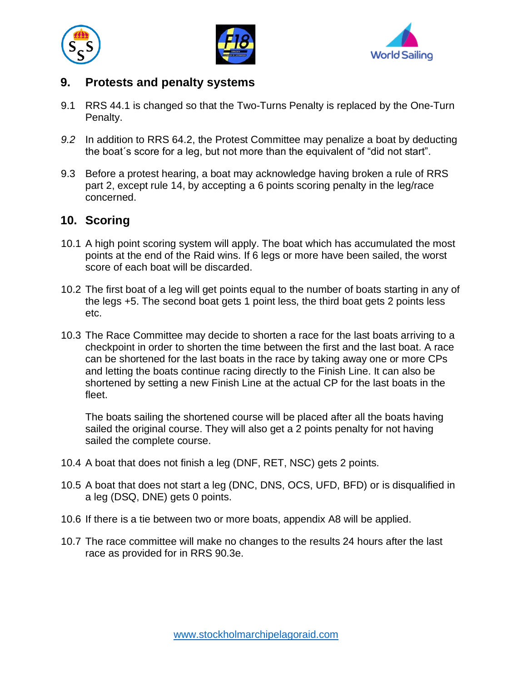





# **9. Protests and penalty systems**

- 9.1 RRS 44.1 is changed so that the Two-Turns Penalty is replaced by the One-Turn Penalty.
- *9.2* In addition to RRS 64.2, the Protest Committee may penalize a boat by deducting the boat´s score for a leg, but not more than the equivalent of "did not start".
- 9.3 Before a protest hearing, a boat may acknowledge having broken a rule of RRS part 2, except rule 14, by accepting a 6 points scoring penalty in the leg/race concerned.

# **10. Scoring**

- 10.1 A high point scoring system will apply. The boat which has accumulated the most points at the end of the Raid wins. If 6 legs or more have been sailed, the worst score of each boat will be discarded.
- 10.2 The first boat of a leg will get points equal to the number of boats starting in any of the legs +5. The second boat gets 1 point less, the third boat gets 2 points less etc.
- 10.3 The Race Committee may decide to shorten a race for the last boats arriving to a checkpoint in order to shorten the time between the first and the last boat. A race can be shortened for the last boats in the race by taking away one or more CPs and letting the boats continue racing directly to the Finish Line. It can also be shortened by setting a new Finish Line at the actual CP for the last boats in the fleet.

The boats sailing the shortened course will be placed after all the boats having sailed the original course. They will also get a 2 points penalty for not having sailed the complete course.

- 10.4 A boat that does not finish a leg (DNF, RET, NSC) gets 2 points.
- 10.5 A boat that does not start a leg (DNC, DNS, OCS, UFD, BFD) or is disqualified in a leg (DSQ, DNE) gets 0 points.
- 10.6 If there is a tie between two or more boats, appendix A8 will be applied.
- 10.7 The race committee will make no changes to the results 24 hours after the last race as provided for in RRS 90.3e.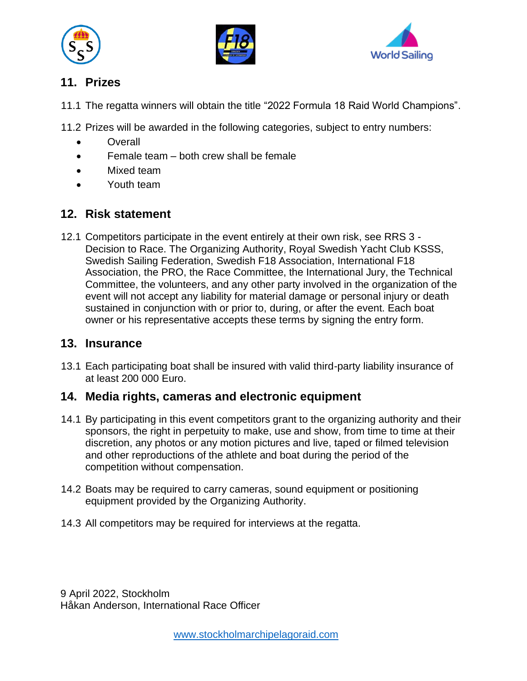





# **11. Prizes**

11.1 The regatta winners will obtain the title "2022 Formula 18 Raid World Champions".

11.2 Prizes will be awarded in the following categories, subject to entry numbers:

- Overall
- Female team both crew shall be female
- Mixed team
- Youth team

# **12. Risk statement**

12.1 Competitors participate in the event entirely at their own risk, see RRS 3 - Decision to Race. The Organizing Authority, Royal Swedish Yacht Club KSSS, Swedish Sailing Federation, Swedish F18 Association, International F18 Association, the PRO, the Race Committee, the International Jury, the Technical Committee, the volunteers, and any other party involved in the organization of the event will not accept any liability for material damage or personal injury or death sustained in conjunction with or prior to, during, or after the event. Each boat owner or his representative accepts these terms by signing the entry form.

# **13. Insurance**

13.1 Each participating boat shall be insured with valid third-party liability insurance of at least 200 000 Euro.

# **14. Media rights, cameras and electronic equipment**

- 14.1 By participating in this event competitors grant to the organizing authority and their sponsors, the right in perpetuity to make, use and show, from time to time at their discretion, any photos or any motion pictures and live, taped or filmed television and other reproductions of the athlete and boat during the period of the competition without compensation.
- 14.2 Boats may be required to carry cameras, sound equipment or positioning equipment provided by the Organizing Authority.
- 14.3 All competitors may be required for interviews at the regatta.

9 April 2022, Stockholm Håkan Anderson, International Race Officer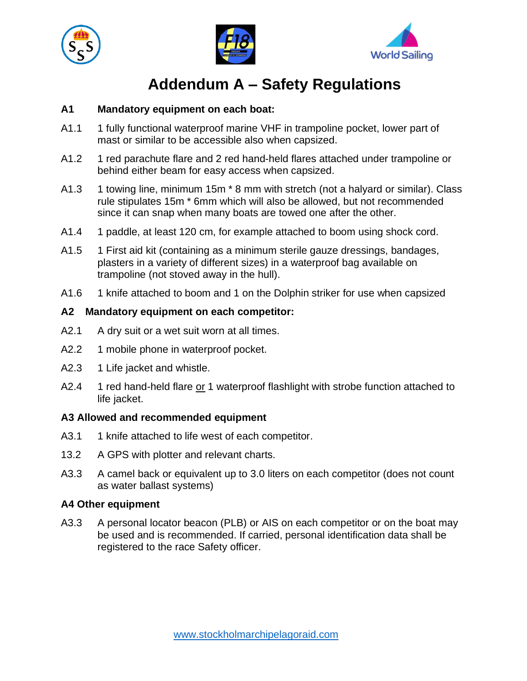





# **Addendum A – Safety Regulations**

#### **A1 Mandatory equipment on each boat:**

- A1.1 1 fully functional waterproof marine VHF in trampoline pocket, lower part of mast or similar to be accessible also when capsized.
- A1.2 1 red parachute flare and 2 red hand-held flares attached under trampoline or behind either beam for easy access when capsized.
- A1.3 1 towing line, minimum 15m \* 8 mm with stretch (not a halyard or similar). Class rule stipulates 15m \* 6mm which will also be allowed, but not recommended since it can snap when many boats are towed one after the other.
- A1.4 1 paddle, at least 120 cm, for example attached to boom using shock cord.
- A1.5 1 First aid kit (containing as a minimum sterile gauze dressings, bandages, plasters in a variety of different sizes) in a waterproof bag available on trampoline (not stoved away in the hull).
- A1.6 1 knife attached to boom and 1 on the Dolphin striker for use when capsized

#### **A2 Mandatory equipment on each competitor:**

- A2.1 A dry suit or a wet suit worn at all times.
- A2.2 1 mobile phone in waterproof pocket.
- A2.3 1 Life jacket and whistle.
- A2.4 1 red hand-held flare or 1 waterproof flashlight with strobe function attached to life jacket.

#### **A3 Allowed and recommended equipment**

- A3.1 1 knife attached to life west of each competitor.
- 13.2 A GPS with plotter and relevant charts.
- A3.3 A camel back or equivalent up to 3.0 liters on each competitor (does not count as water ballast systems)

#### **A4 Other equipment**

A3.3 A personal locator beacon (PLB) or AIS on each competitor or on the boat may be used and is recommended. If carried, personal identification data shall be registered to the race Safety officer.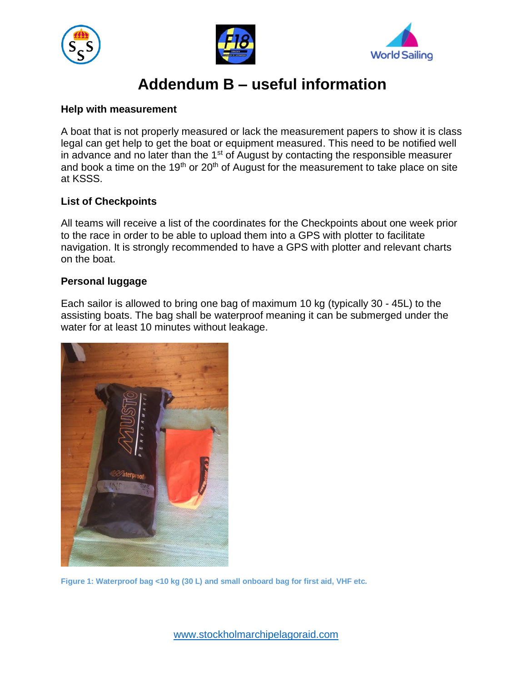





# **Addendum B – useful information**

#### **Help with measurement**

A boat that is not properly measured or lack the measurement papers to show it is class legal can get help to get the boat or equipment measured. This need to be notified well in advance and no later than the  $1<sup>st</sup>$  of August by contacting the responsible measurer and book a time on the 19<sup>th</sup> or 20<sup>th</sup> of August for the measurement to take place on site at KSSS.

#### **List of Checkpoints**

All teams will receive a list of the coordinates for the Checkpoints about one week prior to the race in order to be able to upload them into a GPS with plotter to facilitate navigation. It is strongly recommended to have a GPS with plotter and relevant charts on the boat.

#### **Personal luggage**

Each sailor is allowed to bring one bag of maximum 10 kg (typically 30 - 45L) to the assisting boats. The bag shall be waterproof meaning it can be submerged under the water for at least 10 minutes without leakage.



**Figure 1: Waterproof bag <10 kg (30 L) and small onboard bag for first aid, VHF etc.**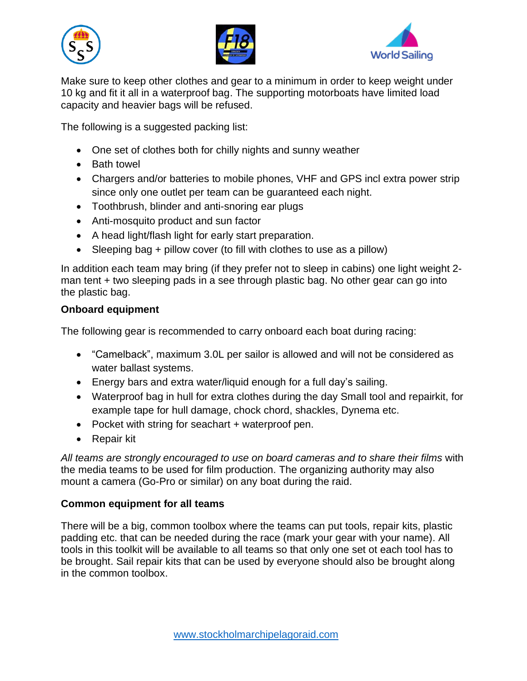





Make sure to keep other clothes and gear to a minimum in order to keep weight under 10 kg and fit it all in a waterproof bag. The supporting motorboats have limited load capacity and heavier bags will be refused.

The following is a suggested packing list:

- One set of clothes both for chilly nights and sunny weather
- Bath towel
- Chargers and/or batteries to mobile phones, VHF and GPS incl extra power strip since only one outlet per team can be guaranteed each night.
- Toothbrush, blinder and anti-snoring ear plugs
- Anti-mosquito product and sun factor
- A head light/flash light for early start preparation.
- Sleeping bag + pillow cover (to fill with clothes to use as a pillow)

In addition each team may bring (if they prefer not to sleep in cabins) one light weight 2 man tent + two sleeping pads in a see through plastic bag. No other gear can go into the plastic bag.

#### **Onboard equipment**

The following gear is recommended to carry onboard each boat during racing:

- "Camelback", maximum 3.0L per sailor is allowed and will not be considered as water ballast systems.
- Energy bars and extra water/liquid enough for a full day's sailing.
- Waterproof bag in hull for extra clothes during the day Small tool and repairkit, for example tape for hull damage, chock chord, shackles, Dynema etc.
- Pocket with string for seachart + waterproof pen.
- Repair kit

*All teams are strongly encouraged to use on board cameras and to share their films* with the media teams to be used for film production. The organizing authority may also mount a camera (Go-Pro or similar) on any boat during the raid.

#### **Common equipment for all teams**

There will be a big, common toolbox where the teams can put tools, repair kits, plastic padding etc. that can be needed during the race (mark your gear with your name). All tools in this toolkit will be available to all teams so that only one set ot each tool has to be brought. Sail repair kits that can be used by everyone should also be brought along in the common toolbox.